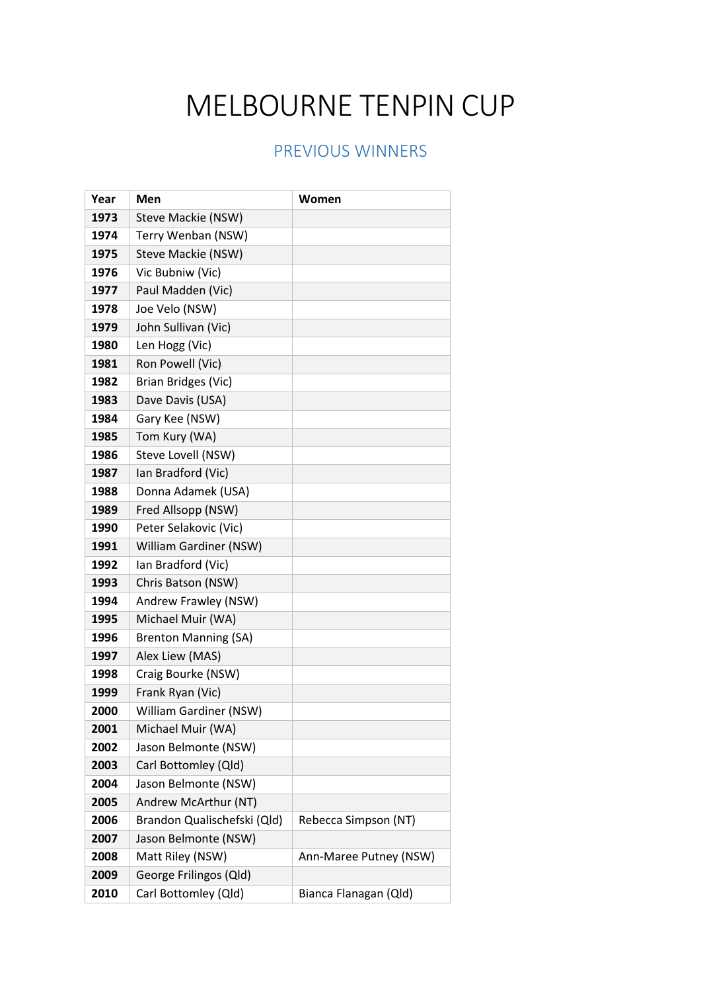## MELBOURNE TENPIN CUP

## PREVIOUS WINNERS

| Year | Men                         | Women                  |
|------|-----------------------------|------------------------|
| 1973 | Steve Mackie (NSW)          |                        |
| 1974 | Terry Wenban (NSW)          |                        |
| 1975 | Steve Mackie (NSW)          |                        |
| 1976 | Vic Bubniw (Vic)            |                        |
| 1977 | Paul Madden (Vic)           |                        |
| 1978 | Joe Velo (NSW)              |                        |
| 1979 | John Sullivan (Vic)         |                        |
| 1980 | Len Hogg (Vic)              |                        |
| 1981 | Ron Powell (Vic)            |                        |
| 1982 | Brian Bridges (Vic)         |                        |
| 1983 | Dave Davis (USA)            |                        |
| 1984 | Gary Kee (NSW)              |                        |
| 1985 | Tom Kury (WA)               |                        |
| 1986 | Steve Lovell (NSW)          |                        |
| 1987 | Ian Bradford (Vic)          |                        |
| 1988 | Donna Adamek (USA)          |                        |
| 1989 | Fred Allsopp (NSW)          |                        |
| 1990 | Peter Selakovic (Vic)       |                        |
| 1991 | William Gardiner (NSW)      |                        |
| 1992 | Ian Bradford (Vic)          |                        |
| 1993 | Chris Batson (NSW)          |                        |
| 1994 | Andrew Frawley (NSW)        |                        |
| 1995 | Michael Muir (WA)           |                        |
| 1996 | <b>Brenton Manning (SA)</b> |                        |
| 1997 | Alex Liew (MAS)             |                        |
| 1998 | Craig Bourke (NSW)          |                        |
| 1999 | Frank Ryan (Vic)            |                        |
| 2000 | William Gardiner (NSW)      |                        |
| 2001 | Michael Muir (WA)           |                        |
| 2002 | Jason Belmonte (NSW)        |                        |
| 2003 | Carl Bottomley (Qld)        |                        |
| 2004 | Jason Belmonte (NSW)        |                        |
| 2005 | Andrew McArthur (NT)        |                        |
| 2006 | Brandon Qualischefski (Qld) | Rebecca Simpson (NT)   |
| 2007 | Jason Belmonte (NSW)        |                        |
| 2008 | Matt Riley (NSW)            | Ann-Maree Putney (NSW) |
| 2009 | George Frilingos (Qld)      |                        |
| 2010 | Carl Bottomley (Qld)        | Bianca Flanagan (Qld)  |